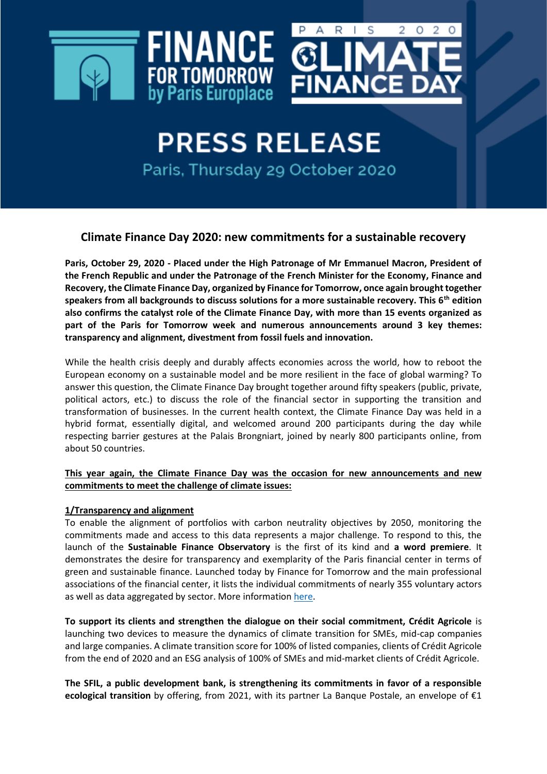



**PRESS RELEASE** Paris, Thursday 29 October 2020

# **Climate Finance Day 2020: new commitments for a sustainable recovery**

**Paris, October 29, 2020 - Placed under the High Patronage of Mr Emmanuel Macron, President of the French Republic and under the Patronage of the French Minister for the Economy, Finance and Recovery,the Climate Finance Day, organized by Finance for Tomorrow, once again brought together speakers from all backgrounds to discuss solutions for a more sustainable recovery. This 6th edition also confirms the catalyst role of the Climate Finance Day, with more than 15 events organized as part of the Paris for Tomorrow week and numerous announcements around 3 key themes: transparency and alignment, divestment from fossil fuels and innovation.**

While the health crisis deeply and durably affects economies across the world, how to reboot the European economy on a sustainable model and be more resilient in the face of global warming? To answer this question, the Climate Finance Day brought together around fifty speakers (public, private, political actors, etc.) to discuss the role of the financial sector in supporting the transition and transformation of businesses. In the current health context, the Climate Finance Day was held in a hybrid format, essentially digital, and welcomed around 200 participants during the day while respecting barrier gestures at the Palais Brongniart, joined by nearly 800 participants online, from about 50 countries.

# **This year again, the Climate Finance Day was the occasion for new announcements and new commitments to meet the challenge of climate issues:**

# **1/Transparency and alignment**

To enable the alignment of portfolios with carbon neutrality objectives by 2050, monitoring the commitments made and access to this data represents a major challenge. To respond to this, the launch of the **Sustainable Finance Observatory** is the first of its kind and **a word premiere**. It demonstrates the desire for transparency and exemplarity of the Paris financial center in terms of green and sustainable finance. Launched today by Finance for Tomorrow and the main professional associations of the financial center, it lists the individual commitments of nearly 355 voluntary actors as well as data aggregated by sector. More information [here.](https://observatoiredelafinancedurable.com/)

**To support its clients and strengthen the dialogue on their social commitment, Crédit Agricole** is launching two devices to measure the dynamics of climate transition for SMEs, mid-cap companies and large companies. A climate transition score for 100% of listed companies, clients of Crédit Agricole from the end of 2020 and an ESG analysis of 100% of SMEs and mid-market clients of Crédit Agricole.

**The SFIL, a public development bank, is strengthening its commitments in favor of a responsible ecological transition** by offering, from 2021, with its partner La Banque Postale, an envelope of €1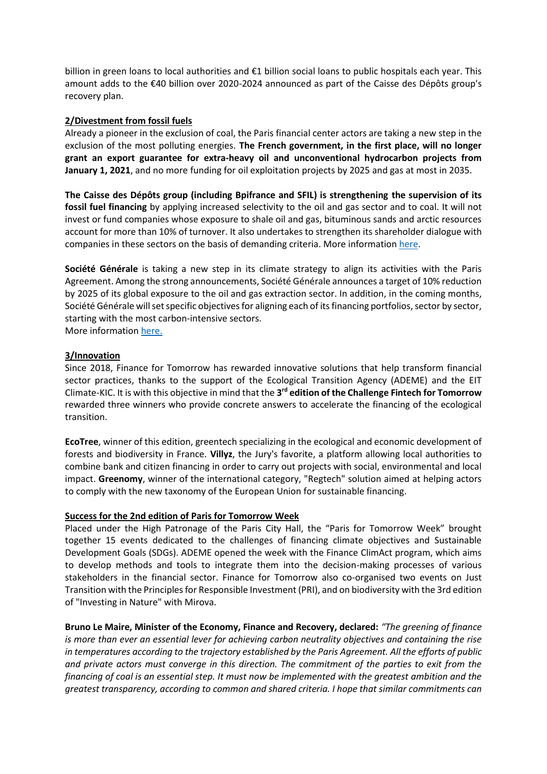billion in green loans to local authorities and €1 billion social loans to public hospitals each year. This amount adds to the €40 billion over 2020-2024 announced as part of the Caisse des Dépôts group's recovery plan.

## **2/Divestment from fossil fuels**

Already a pioneer in the exclusion of coal, the Paris financial center actors are taking a new step in the exclusion of the most polluting energies. **The French government, in the first place, will no longer grant an export guarantee for extra-heavy oil and unconventional hydrocarbon projects from January 1, 2021**, and no more funding for oil exploitation projects by 2025 and gas at most in 2035.

**The Caisse des Dépôts group (including Bpifrance and SFIL) is strengthening the supervision of its fossil fuel financing** by applying increased selectivity to the oil and gas sector and to coal. It will not invest or fund companies whose exposure to shale oil and gas, bituminous sands and arctic resources account for more than 10% of turnover. It also undertakes to strengthen its shareholder dialogue with companies in these sectors on the basis of demanding criteria. More informatio[n here.](https://www.caissedesdepots.fr/communiques-de-presse)

**Société Générale** is taking a new step in its climate strategy to align its activities with the Paris Agreement. Among the strong announcements, Société Générale announces a target of 10% reduction by 2025 of its global exposure to the oil and gas extraction sector. In addition, in the coming months, Société Générale will set specific objectives for aligning each of its financing portfolios, sector by sector, starting with the most carbon-intensive sectors.

More informatio[n here.](https://www.societegenerale.com/en/news/press-releases/climate-strategy-activities-alignment-with-paris-agreement)

## **3/Innovation**

Since 2018, Finance for Tomorrow has rewarded innovative solutions that help transform financial sector practices, thanks to the support of the Ecological Transition Agency (ADEME) and the EIT Climate-KIC. It is with this objective in mind that the **3 rd edition of the Challenge Fintech for Tomorrow** rewarded three winners who provide concrete answers to accelerate the financing of the ecological transition.

**EcoTree**, winner of this edition, greentech specializing in the ecological and economic development of forests and biodiversity in France. **Villyz**, the Jury's favorite, a platform allowing local authorities to combine bank and citizen financing in order to carry out projects with social, environmental and local impact. **Greenomy**, winner of the international category, "Regtech" solution aimed at helping actors to comply with the new taxonomy of the European Union for sustainable financing.

## **Success for the 2nd edition of Paris for Tomorrow Week**

Placed under the High Patronage of the Paris City Hall, the "Paris for Tomorrow Week" brought together 15 events dedicated to the challenges of financing climate objectives and Sustainable Development Goals (SDGs). ADEME opened the week with the Finance ClimAct program, which aims to develop methods and tools to integrate them into the decision-making processes of various stakeholders in the financial sector. Finance for Tomorrow also co-organised two events on Just Transition with the Principles for Responsible Investment (PRI), and on biodiversity with the 3rd edition of "Investing in Nature" with Mirova.

**Bruno Le Maire, Minister of the Economy, Finance and Recovery, declared:** *"The greening of finance is more than ever an essential lever for achieving carbon neutrality objectives and containing the rise in temperatures according to the trajectory established by the Paris Agreement. All the efforts of public and private actors must converge in this direction. The commitment of the parties to exit from the financing of coal is an essential step. It must now be implemented with the greatest ambition and the greatest transparency, according to common and shared criteria. I hope that similar commitments can*